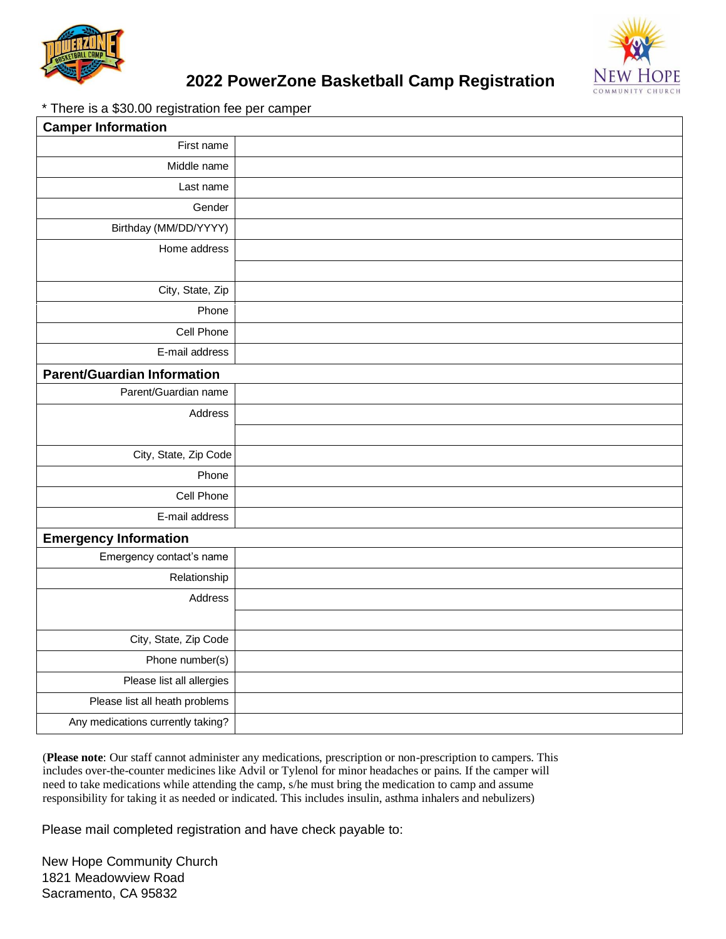



### **2022 PowerZone Basketball Camp Registration**

\* There is a \$30.00 registration fee per camper

| <b>Camper Information</b>          |  |
|------------------------------------|--|
| First name                         |  |
| Middle name                        |  |
| Last name                          |  |
| Gender                             |  |
| Birthday (MM/DD/YYYY)              |  |
| Home address                       |  |
|                                    |  |
| City, State, Zip                   |  |
| Phone                              |  |
| Cell Phone                         |  |
| E-mail address                     |  |
| <b>Parent/Guardian Information</b> |  |
| Parent/Guardian name               |  |
| Address                            |  |
|                                    |  |
| City, State, Zip Code              |  |
| Phone                              |  |
| Cell Phone                         |  |
| E-mail address                     |  |
| <b>Emergency Information</b>       |  |
| Emergency contact's name           |  |
| Relationship                       |  |
| Address                            |  |
|                                    |  |
| City, State, Zip Code              |  |
| Phone number(s)                    |  |
| Please list all allergies          |  |
| Please list all heath problems     |  |
| Any medications currently taking?  |  |

(**Please note**: Our staff cannot administer any medications, prescription or non-prescription to campers. This includes over-the-counter medicines like Advil or Tylenol for minor headaches or pains. If the camper will need to take medications while attending the camp, s/he must bring the medication to camp and assume responsibility for taking it as needed or indicated. This includes insulin, asthma inhalers and nebulizers)

Please mail completed registration and have check payable to:

New Hope Community Church 1821 Meadowview Road Sacramento, CA 95832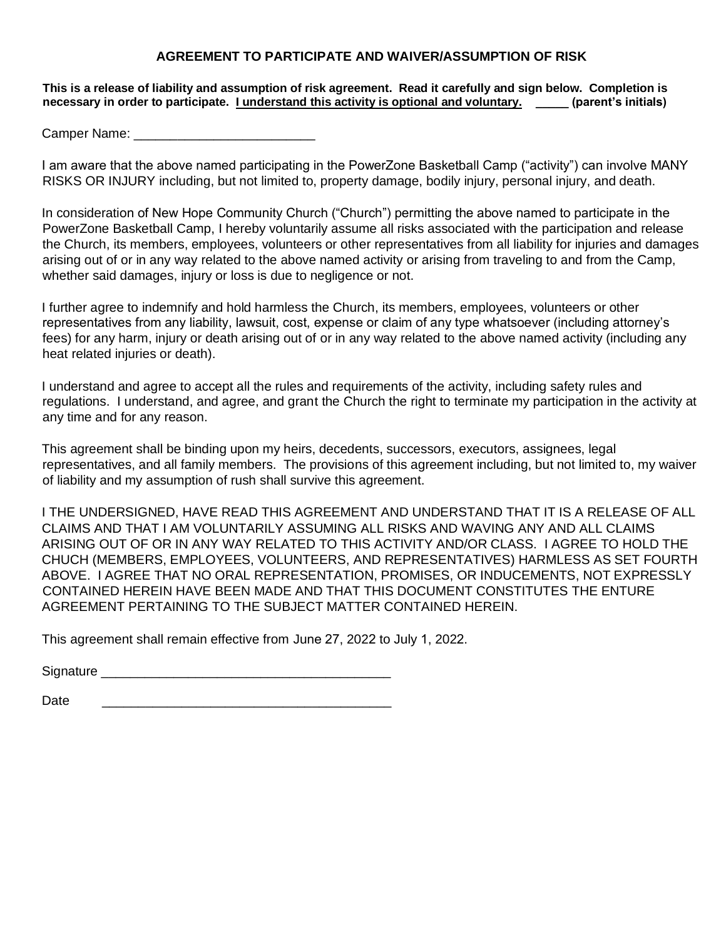#### **AGREEMENT TO PARTICIPATE AND WAIVER/ASSUMPTION OF RISK**

#### **This is a release of liability and assumption of risk agreement. Read it carefully and sign below. Completion is necessary in order to participate. I understand this activity is optional and voluntary. \_\_\_\_\_ (parent's initials)**

Camper Name: \_\_\_\_\_\_\_\_\_\_\_\_\_\_\_\_\_\_\_\_\_\_\_\_\_

I am aware that the above named participating in the PowerZone Basketball Camp ("activity") can involve MANY RISKS OR INJURY including, but not limited to, property damage, bodily injury, personal injury, and death.

In consideration of New Hope Community Church ("Church") permitting the above named to participate in the PowerZone Basketball Camp, I hereby voluntarily assume all risks associated with the participation and release the Church, its members, employees, volunteers or other representatives from all liability for injuries and damages arising out of or in any way related to the above named activity or arising from traveling to and from the Camp, whether said damages, injury or loss is due to negligence or not.

I further agree to indemnify and hold harmless the Church, its members, employees, volunteers or other representatives from any liability, lawsuit, cost, expense or claim of any type whatsoever (including attorney's fees) for any harm, injury or death arising out of or in any way related to the above named activity (including any heat related injuries or death).

I understand and agree to accept all the rules and requirements of the activity, including safety rules and regulations. I understand, and agree, and grant the Church the right to terminate my participation in the activity at any time and for any reason.

This agreement shall be binding upon my heirs, decedents, successors, executors, assignees, legal representatives, and all family members. The provisions of this agreement including, but not limited to, my waiver of liability and my assumption of rush shall survive this agreement.

I THE UNDERSIGNED, HAVE READ THIS AGREEMENT AND UNDERSTAND THAT IT IS A RELEASE OF ALL CLAIMS AND THAT I AM VOLUNTARILY ASSUMING ALL RISKS AND WAVING ANY AND ALL CLAIMS ARISING OUT OF OR IN ANY WAY RELATED TO THIS ACTIVITY AND/OR CLASS. I AGREE TO HOLD THE CHUCH (MEMBERS, EMPLOYEES, VOLUNTEERS, AND REPRESENTATIVES) HARMLESS AS SET FOURTH ABOVE. I AGREE THAT NO ORAL REPRESENTATION, PROMISES, OR INDUCEMENTS, NOT EXPRESSLY CONTAINED HEREIN HAVE BEEN MADE AND THAT THIS DOCUMENT CONSTITUTES THE ENTURE AGREEMENT PERTAINING TO THE SUBJECT MATTER CONTAINED HEREIN.

This agreement shall remain effective from June 27, 2022 to July 1, 2022.

Signature \_\_\_\_\_\_\_\_\_\_\_\_\_\_\_\_\_\_\_\_\_\_\_\_\_\_\_\_\_\_\_\_\_\_\_\_\_\_\_\_

Date \_\_\_\_\_\_\_\_\_\_\_\_\_\_\_\_\_\_\_\_\_\_\_\_\_\_\_\_\_\_\_\_\_\_\_\_\_\_\_\_